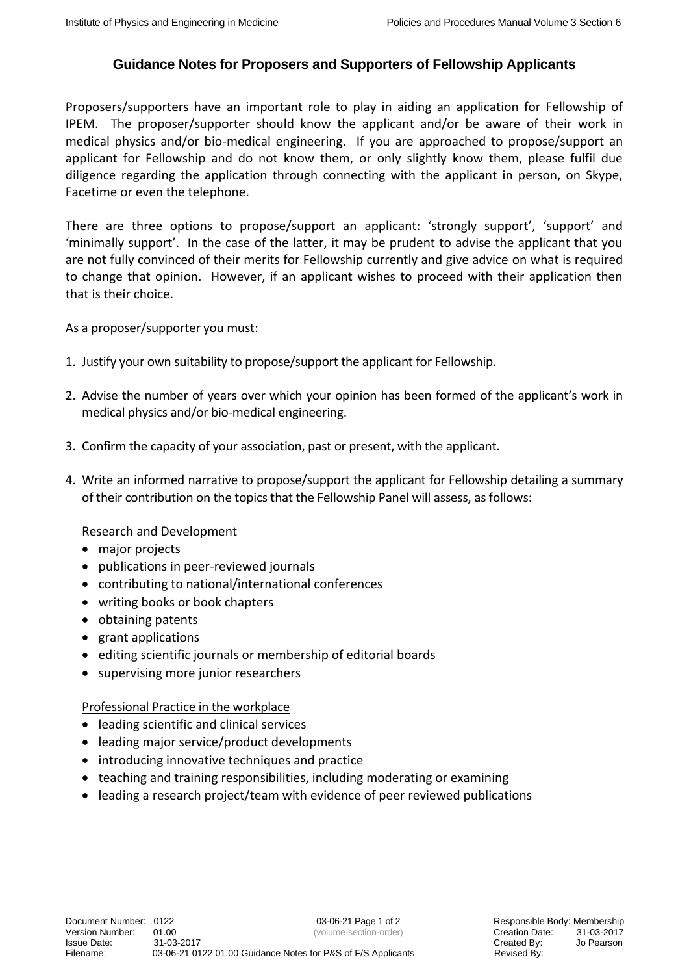## **Guidance Notes for Proposers and Supporters of Fellowship Applicants**

Proposers/supporters have an important role to play in aiding an application for Fellowship of IPEM. The proposer/supporter should know the applicant and/or be aware of their work in medical physics and/or bio-medical engineering. If you are approached to propose/support an applicant for Fellowship and do not know them, or only slightly know them, please fulfil due diligence regarding the application through connecting with the applicant in person, on Skype, Facetime or even the telephone.

There are three options to propose/support an applicant: 'strongly support', 'support' and 'minimally support'. In the case of the latter, it may be prudent to advise the applicant that you are not fully convinced of their merits for Fellowship currently and give advice on what is required to change that opinion. However, if an applicant wishes to proceed with their application then that is their choice.

As a proposer/supporter you must:

- 1. Justify your own suitability to propose/support the applicant for Fellowship.
- 2. Advise the number of years over which your opinion has been formed of the applicant's work in medical physics and/or bio-medical engineering.
- 3. Confirm the capacity of your association, past or present, with the applicant.
- 4. Write an informed narrative to propose/support the applicant for Fellowship detailing a summary of their contribution on the topics that the Fellowship Panel will assess, as follows:

## Research and Development

- major projects
- publications in peer-reviewed journals
- contributing to national/international conferences
- writing books or book chapters
- obtaining patents
- grant applications
- editing scientific journals or membership of editorial boards
- supervising more junior researchers

## Professional Practice in the workplace

- leading scientific and clinical services
- leading major service/product developments
- introducing innovative techniques and practice
- teaching and training responsibilities, including moderating or examining
- leading a research project/team with evidence of peer reviewed publications